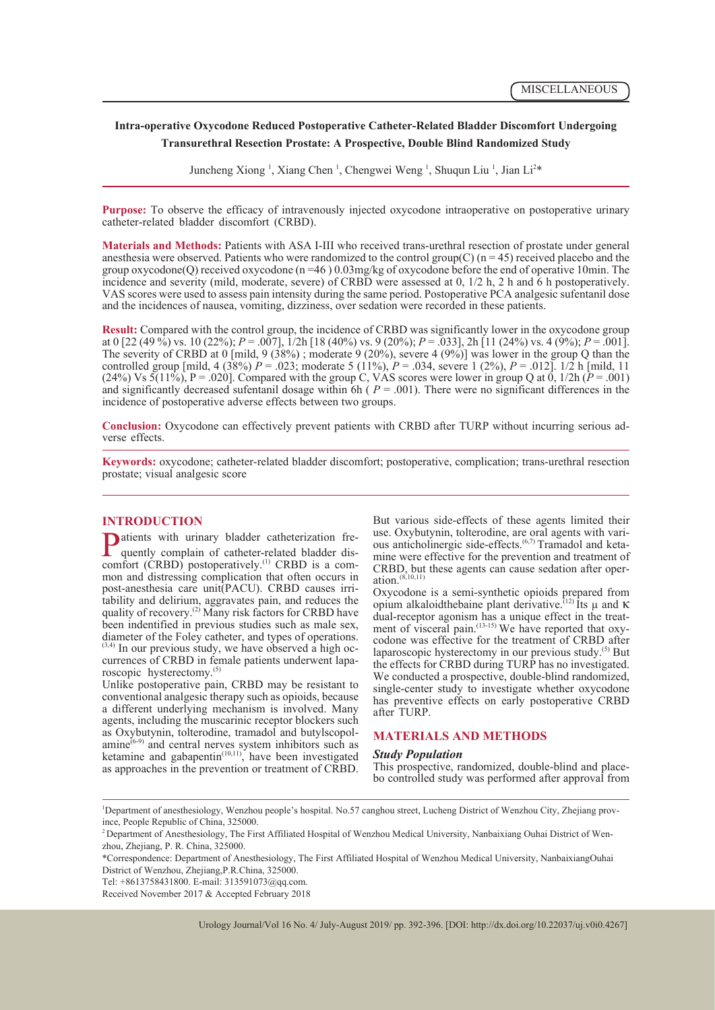# **Intra-operative Oxycodone Reduced Postoperative Catheter-Related Bladder Discomfort Undergoing Transurethral Resection Prostate: A Prospective, Double Blind Randomized Study**

Juncheng Xiong<sup>1</sup>, Xiang Chen<sup>1</sup>, Chengwei Weng<sup>1</sup>, Shuqun Liu<sup>1</sup>, Jian Li<sup>2\*</sup>

**Purpose:** To observe the efficacy of intravenously injected oxycodone intraoperative on postoperative urinary catheter-related bladder discomfort (CRBD).

**Materials and Methods:** Patients with ASA I-III who received trans-urethral resection of prostate under general anesthesia were observed. Patients who were randomized to the control group(C)  $(n = 45)$  received placebo and the group oxycodone(Q) received oxycodone (n =46 ) 0.03mg/kg of oxycodone before the end of operative 10min. The incidence and severity (mild, moderate, severe) of CRBD were assessed at 0, 1/2 h, 2 h and 6 h postoperatively. VAS scores were used to assess pain intensity during the same period. Postoperative PCA analgesic sufentanil dose and the incidences of nausea, vomiting, dizziness, over sedation were recorded in these patients.

**Result:** Compared with the control group, the incidence of CRBD was significantly lower in the oxycodone group at 0 [22 (49 %) vs. 10 (22%); *P* = .007], 1/2h [18 (40%) vs. 9 (20%); *P* = .033], 2h [11 (24%) vs. 4 (9%); *P* = .001]. The severity of CRBD at 0 [mild, 9 (38%); moderate 9 (20%), severe 4 (9%)] was lower in the group Q than the controlled group [mild, 4 (38%)  $\hat{P} = .023$ ; moderate 5 (11%),  $\hat{P} = .034$ , severe 1 (2%),  $P = .012$ ]. 1/2 h [mild, 11 (24%) Vs  $\overline{5}(11\%)$ , P = .020]. Compared with the group C, VAS scores were lower in group Q at 0, 1/2h ( $\overline{P}$  = .001) and significantly decreased sufentanil dosage within  $6h$  ( $P = .001$ ). There were no significant differences in the incidence of postoperative adverse effects between two groups.

**Conclusion:** Oxycodone can effectively prevent patients with CRBD after TURP without incurring serious adverse effects.

**Keywords:** oxycodone; catheter-related bladder discomfort; postoperative, complication; trans-urethral resection prostate; visual analgesic score

**INTRODUCTION**<br> **D** atients with urinary bladder catheterization fre-**P**atients with urinary bladder catheterization frequently complain of catheter-related bladder discomfort (CRBD) postoperatively.<sup>(1)</sup> CRBD is a comquently complain of catheter-related bladder discomfort (CRBD) postoperatively.<sup>(1)</sup> CRBD is a com- mon and distressing complication that often occurs in post-anesthesia care unit(PACU). CRBD causes irritability and delirium, aggravates pain, and reduces the quality of recovery.<sup>(2)</sup> Many risk factors for CRBD have been indentified in previous studies such as male sex, diameter of the Foley catheter, and types of operations.<br> $(3.4)$  In our previous study, we have observed a high occurrences of CRBD in female patients underwent lapa-roscopic hysterectomy.<sup>(5)</sup>

Unlike postoperative pain, CRBD may be resistant to conventional analgesic therapy such as opioids, because a different underlying mechanism is involved. Many agents, including the muscarinic receptor blockers such as Oxybutynin, tolterodine, tramadol and butylscopolamine<sup>(6-9)</sup> and central nerves system inhibitors such as ketamine and gabapentin $(10,11)$ , have been investigated as approaches in the prevention or treatment of CRBD. But various side-effects of these agents limited their use. Oxybutynin, tolterodine, are oral agents with variuse. Onybutynin, toletodine, are allowed mixidious anticholinergic side-effects.<sup>(6,7)</sup> Tramadol and keta-<br>mine were effective for the prevention and treatment of CRBD, but these agents can cause sedation after oper-<br>ation.<sup> $(8,10,11)$ </sup>

Oxycodone is a semi-synthetic opioids prepared from opium alkaloidthebaine plant derivative.<sup>(12)</sup> Its μ and κ dual-receptor agonism has a unique effect in the treat-<br>ment of visceral pain.<sup>(13-15)</sup> We have reported that oxy-<br>codone was effective for the treatment of CRBD after laparoscopic hysterectomy in our previous study. $^{(5)}$  But the effects for CRBD during TURP has no investigated. We conducted a prospective, double-blind randomized, single-center study to investigate whether oxycodone has preventive effects on early postoperative CRBD after TURP.

# **MATERIALS AND METHODS**

**Study Population**<br>This prospective, randomized, double-blind and placebo controlled study was performed after approval from

Urology Journal/Vol 16 No. 4/ July-August 2019/ pp. 392-396. [DOI: http://dx.doi.org/10.22037/uj.v0i0.4267]

<sup>1</sup> Department of anesthesiology, Wenzhou people's hospital. No.57 canghou street, Lucheng District of Wenzhou City, Zhejiang province, People Republic of China, 325000.

<sup>&</sup>lt;sup>2</sup> Department of Anesthesiology, The First Affiliated Hospital of Wenzhou Medical University, Nanbaixiang Ouhai District of Wenzhou, Zhejiang, P. R. China, 325000.

<sup>\*</sup>Correspondence: Department of Anesthesiology, The First Affiliated Hospital of Wenzhou Medical University, NanbaixiangOuhai District of Wenzhou, Zhejiang,P.R.China, 325000.

Tel: +8613758431800. E-mail: 313591073@qq.com.

Received November 2017 & Accepted February 2018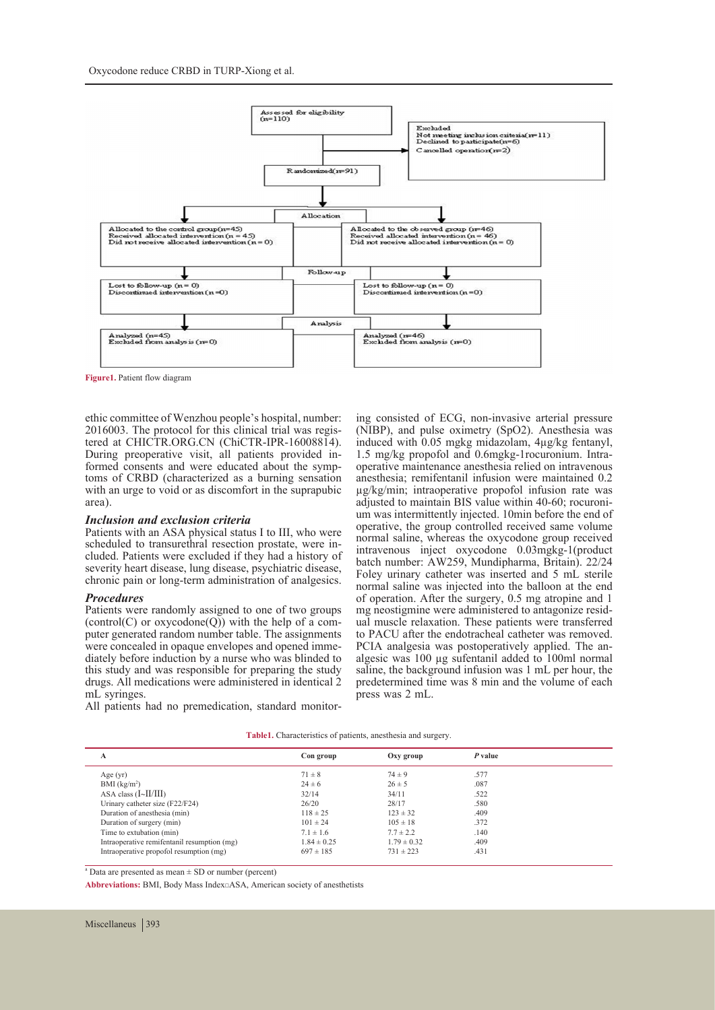

**Figure1.** Patient flow diagram

ethic committee of Wenzhou people's hospital, number: tered at CHICTR.ORG.CN (ChiCTR-IPR-16008814).<br>During preoperative visit, all patients provided informed consents and were educated about the symp-<br>toms of CRBD (characterized as a burning sensation with an urge to void or as discomfort in the suprapubic area).

#### *Inclusion and exclusion criteria*

Patients with an ASA physical status I to III, who were scheduled to transurethral resection prostate, were included. Patients were excluded if they had a history of severity heart disease, lung disease, psychiatric disease, chronic pain or long-term administration of analgesics.

### *Procedures*

Patients were randomly assigned to one of two groups (control(C) or oxycodone(Q)) with the help of a com-<br>puter generated random number table. The assignments<br>were concealed in opaque envelopes and opened immediately before induction by a nurse who was blinded to this study and was responsible for preparing the study drugs. All medications were administered in identical 2 mL syringes.

ing consisted of ECG, non-invasive arterial pressure (NIBP), and pulse oximetry (SpO2). Anesthesia was induced with 0.05 mgkg midazolam, 4μg/kg fentanyl, operative maintenance anesthesia relied on intravenous anesthesia; remifentanil infusion were maintained 0.2  $\mu$ g/kg/min; intraoperative propofol infusion rate was adjusted to maintain BIS value within 40-60; rocuronium was intermittently injected. 10min before the end of operative, the group controlled received same volume normal saline, whereas the oxycodone group received intravenous inject oxycodone 0.03mgkg-1(product batch number: AW259, Mundipharma, Britain). 22/24 Foley urinary catheter was inserted and 5 mL sterile normal saline was injected into the balloon at the end of operation. After the surgery, 0.5 mg atropine and 1 ual muscle relaxation. These patients were transferred to PACU after the endotracheal catheter was removed.<br>PCIA analgesia was postoperatively applied. The analgesic was 100 μg sufentanil added to 100ml normal saline, the background infusion was 1 mL per hour, the predetermined time was 8 min and the volume of each press was 2 mL.

All patients had no premedication, standard monitor-

**Table1.** Characteristics of patients, anesthesia and surgery.

| А                                           | Con group       | Oxy group       | P value |
|---------------------------------------------|-----------------|-----------------|---------|
| Age(yr)                                     | $71 \pm 8$      | $74 \pm 9$      | .577    |
| BMI $(kg/m2)$                               | $24 \pm 6$      | $26 \pm 5$      | .087    |
| ASA class $(I~\text{-}II/III)$              | 32/14           | 34/11           | .522    |
| Urinary catheter size (F22/F24)             | 26/20           | 28/17           | .580    |
| Duration of anesthesia (min)                | $118 \pm 25$    | $123 \pm 32$    | .409    |
| Duration of surgery (min)                   | $101 \pm 24$    | $105 \pm 18$    | .372    |
| Time to extubation (min)                    | $7.1 \pm 1.6$   | $7.7 \pm 2.2$   | .140    |
| Intraoperative remifentanil resumption (mg) | $1.84 \pm 0.25$ | $1.79 \pm 0.32$ | .409    |
| Intraoperative propofol resumption (mg)     | $697 \pm 185$   | $731 \pm 223$   | .431    |

a Data are presented as mean ± SD or number (percent)

**Abbreviations:** BMI, Body Mass Index;ASA, American society of anesthetists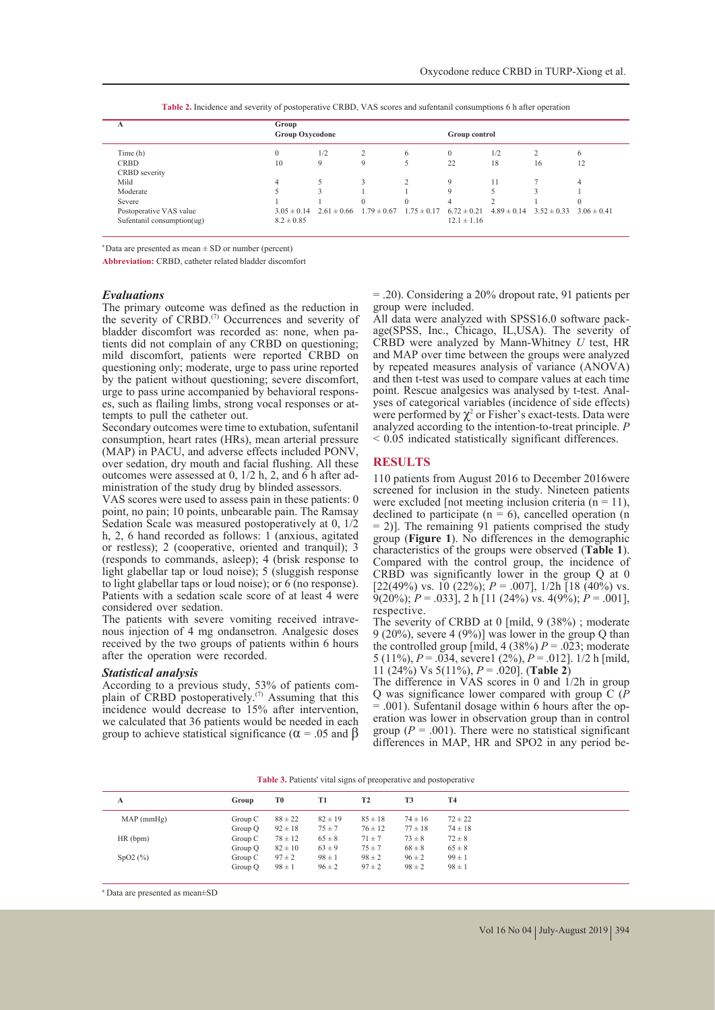| А                          | Group<br><b>Group Oxycodone</b> |                                 |                 |                 | Group control   |     |                                 |                 |
|----------------------------|---------------------------------|---------------------------------|-----------------|-----------------|-----------------|-----|---------------------------------|-----------------|
| Time (h)                   | $\Omega$                        | 1/2                             |                 | 6               | $\mathbf{0}$    | 1/2 |                                 | 6               |
| <b>CRBD</b>                | 10                              | $\mathbf Q$                     | 9               |                 | 22              | 18  | 16                              | 12              |
| CRBD severity              |                                 |                                 |                 |                 |                 |     |                                 |                 |
| Mild                       | 4                               |                                 |                 | $\mathcal{D}$   | $\mathbf Q$     | 11  |                                 | 4               |
| Moderate                   |                                 |                                 |                 |                 | $\mathbf Q$     |     |                                 |                 |
| Severe                     |                                 |                                 | $\Omega$        | $\Omega$        | $\overline{4}$  |     |                                 |                 |
| Postoperative VAS value    |                                 | $3.05 \pm 0.14$ $2.61 \pm 0.66$ | $1.79 \pm 0.67$ | $1.75 \pm 0.17$ | $6.72 \pm 0.21$ |     | $4.89 \pm 0.14$ $3.52 \pm 0.33$ | $3.06 \pm 0.41$ |
| Sufentanil consumption(ug) | $8.2 \pm 0.85$                  |                                 |                 |                 | $12.1 \pm 1.16$ |     |                                 |                 |

**Table 2.** Incidence and severity of postoperative CRBD, VAS scores and sufentanil consumptions 6 h after operation

 $a^*$ Data are presented as mean  $\pm$  SD or number (percent)

**Abbreviation:** CRBD, catheter related bladder discomfort

### *Evaluations*

The primary outcome was defined as the reduction in the severity of CRBD.<sup>(7)</sup> Occurrences and severity of bladder discomfort was recorded as: none, when patients did not complain of any CRBD on questioning; mild discomfort, patients were reported CRBD on questioning only; moderate, urge to pass urine reported by the patient without questioning; severe discomfort, urge to pass urine accompanied by behavioral responses, such as flailing limbs, strong vocal responses or attempts to pull the catheter out.

Secondary outcomes were time to extubation, sufentanil consumption, heart rates (HRs), mean arterial pressure (MAP) in PACU, and adverse effects included PONV, over sedation, dry mouth and facial flushing. All these outcomes were assessed at 0, 1/2 h, 2, and 6 h after ad- ministration of the study drug by blinded assessors.

VAS scores were used to assess pain in these patients: 0 point, no pain; 10 points, unbearable pain. The Ramsay Sedation Scale was measured postoperatively at 0, 1/2 h, 2, 6 hand recorded as follows:  $1$  (anxious, agitated or restless); 2 (cooperative, oriented and tranquil); 3 (responds to commands, asleep); 4 (brisk response to light glabellar tap or loud noise); 5 (sluggish response to light glabellar taps or loud noise); or 6 (no response). Patients with a sedation scale score of at least 4 were considered over sedation.

The patients with severe vomiting received intrave- nous injection of 4 mg ondansetron. Analgesic doses received by the two groups of patients within 6 hours after the operation were recorded.

*Statistical analysis*  plain of  $\text{CRBD}$  postoperatively.<sup>(7)</sup> Assuming that this incidence would decrease to 15% after intervention, we calculated that 36 patients would be needed in each group to achieve statistical significance ( $\alpha$  = .05 and  $\beta$ )

= .20). Considering a 20% dropout rate, 91 patients per group were included.<br>All data were analyzed with SPSS16.0 software pack-

age(SPSS, Inc., Chicago, IL,USA). The severity of CRBD were analyzed by Mann-Whitney *U* test, HR and MAP over time between the groups were analyzed by repeated measures analysis of variance (ANOVA) and then t-test was used to compare values at each time yses of categorical variables (incidence of side effects) were performed by  $\chi^2$  or Fisher's exact-tests. Data were analyzed according to the intention-to-treat principle. *P*  < 0.05 indicated statistically significant differences.

### **RESULTS**

110 patients from August 2016 to December 2016were screened for inclusion in the study. Nineteen patients were excluded [not meeting inclusion criteria ( $n = 11$ ), declined to participate  $(n = 6)$ , cancelled operation  $(n = 1)$ = 2)]. The remaining 91 patients comprised the study group (**Figure 1**). No differences in the demographic characteristics of the groups were observed (**Table 1**). Compared with the control group, the incidence of CRBD was significantly lower in the group Q at 0 [22(49%) vs. 10 (22%);  $P = .007$ ],  $1/2h$  [18 (40%) vs.  $\overline{9}(20\%)$ ;  $P = .033$ ], 2 h [11 (24%) vs. 4(9%);  $P = .001$ ], respective.

The severity of CRBD at 0 [mild, 9 (38%) ; moderate 9 (20%), severe 4 (9%)] was lower in the group Q than the controlled group [mild, 4 (38%)  $P = .023$ ; moderate 5 (11%), *P* = .034, severe1 (2%), *P* = .012]. 1/2 h [mild, 11 (24%) Vs 5(11%), *P* = .020]. (**Table 2**)

The difference in VAS scores in 0 and 1/2h in group Q was significance lower compared with group C (*P*   $= .001$ ). Sufentanil dosage within 6 hours after the operation was lower in observation group than in control group  $(P = .001)$ . There were no statistical significant differences in MAP, HR and SPO2 in any period be-

**Table 3.** Patients' vital signs of preoperative and postoperative

| A         | Group     | T0          | T1          | T <sub>2</sub> | T3          | T <sub>4</sub> |
|-----------|-----------|-------------|-------------|----------------|-------------|----------------|
| MAP(mmHg) | Group C   | $88 \pm 22$ | $82 \pm 19$ | $85 \pm 18$    | $74 \pm 16$ | $72 \pm 22$    |
|           | Group Q   | $92 \pm 18$ | $75 \pm 7$  | $76 \pm 12$    | $77 \pm 18$ | $74 \pm 18$    |
| HR(bpm)   | Group C   | $78 \pm 12$ | $65 \pm 8$  | $71 \pm 7$     | $73 \pm 8$  | $72 \pm 8$     |
|           | Group Q   | $82 \pm 10$ | $63 \pm 9$  | $75 \pm 7$     | $68 \pm 8$  | $65 \pm 8$     |
| SpO2(%)   | Group $C$ | $97 \pm 2$  | $98 \pm 1$  | $98 \pm 2$     | $96 \pm 2$  | $99 \pm 1$     |
|           | Group Q   | $98 \pm 1$  | $96 \pm 2$  | $97 \pm 2$     | $98 \pm 2$  | $98 \pm 1$     |

a Data are presented as mean±SD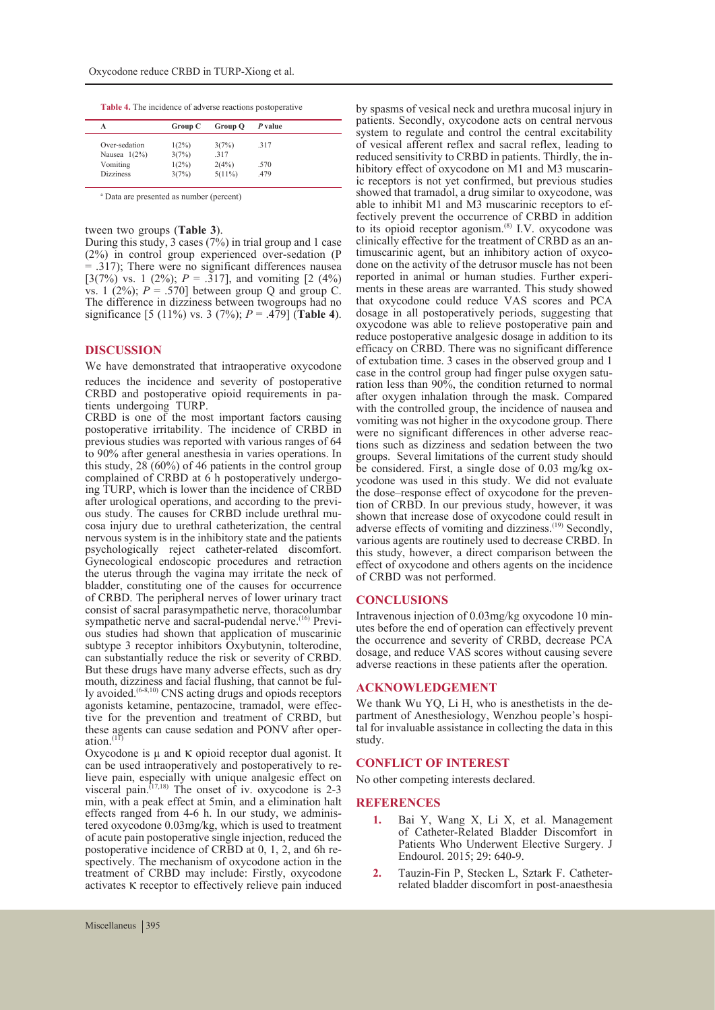**Table 4.** The incidence of adverse reactions postoperative

| А                | Group C  | Group Q   | P value |  |
|------------------|----------|-----------|---------|--|
| Over-sedation    | $1(2\%)$ | 3(7%)     | .317    |  |
| Nausea $1(2\%)$  | 3(7%)    | .317      |         |  |
| Vomiting         | $1(2\%)$ | 2(4%)     | .570    |  |
| <b>Dizziness</b> | 3(7%)    | $5(11\%)$ | .479    |  |

a Data are presented as number (percent)

### tween two groups (**Table 3**).

During this study, 3 cases (7%) in trial group and 1 case (2%) in control group experienced over-sedation (P  $=$  .317); There were no significant differences nausea [3(7%) vs. 1 (2%);  $P = .317$ ], and vomiting [2 (4%)] vs. 1  $(2\%)$ ;  $P = .570$ ] between group Q and group C. The difference in dizziness between twogroups had no significance [5 (11%) vs. 3 (7%); *P* = .479] (**Table 4**).

### **DISCUSSION**

We have demonstrated that intraoperative oxycodone

reduces the incidence and severity of postoperative CRBD and postoperative opioid requirements in pa- tients undergoing TURP.

CRBD is one of the most important factors causing postoperative irritability. The incidence of CRBD in previous studies was reported with various ranges of 64 to 90% after general anesthesia in varies operations. In this study,  $28 (60%)$  of 46 patients in the control group complained of CRBD at 6 h postoperatively undergoing TURP, which is lower than the incidence of CRBD after urological operations, and according to the previ- ous study. The causes for CRBD include urethral mu- cosa injury due to urethral catheterization, the central nervous system is in the inhibitory state and the patients psychologically reject catheter-related discomfort. Gynecological endoscopic procedures and retraction the uterus through the vagina may irritate the neck of bladder, constituting one of the causes for occurrence of CRBD. The peripheral nerves of lower urinary tract consist of sacral parasympathetic nerve, thoracolumbar<br>sympathetic nerve and sacral-pudendal nerve.<sup>(16)</sup> Previous studies had shown that application of muscarinic subtype 3 receptor inhibitors Oxybutynin, tolterodine, can substantially reduce the risk or severity of CRBD. But these drugs have many adverse effects, such as dry mouth, dizziness and facial flushing, that cannot be ful-<br>ly avoided.<sup>(6-8,10)</sup> CNS acting drugs and opiods receptors agonists ketamine, pentazocine, tramadol, were effec- tive for the prevention and treatment of CRBD, but these agents can cause sedation and PONV after operation.<sup>(11)</sup>

Oxycodone is  $\mu$  and  $\kappa$  opioid receptor dual agonist. It can be used intraoperatively and postoperatively to recan be used intraoperatively and postoperatively to re-<br>lieve pain, especially with unique analgesic effect on visceral pain.<sup> $(17,18)$ </sup> The onset of iv. oxycodone is 2-3 min, with a peak effect at 5min, and a elimination halt effects ranged from 4-6 h. In our study, we administered oxycodone 0.03mg/kg, which is used to treatment of acute pain postoperative single injection, reduced the postoperative incidence of CRBD at 0, 1, 2, and 6h respectively. The mechanism of oxycodone action in the treatment of CRBD may include: Firstly, oxycodone activates κ receptor to effectively relieve pain induced

by spasms of vesical neck and urethra mucosal injury in patients. Secondly, oxycodone acts on central nervous system to regulate and control the central excitability of vesical afferent reflex and sacral reflex, leading to hibitory effect of oxycodone on M1 and M3 muscarin-<br>ic receptors is not yet confirmed, but previous studies showed that tramadol, a drug similar to oxycodone, was able to inhibit M1 and M3 muscarinic receptors to effectively prevent the occurrence of CRBD in addition to its opioid receptor agonism.<sup>(8)</sup> I.V. oxycodone was clinically effective for the treatment of CRBD as an an- timuscarinic agent, but an inhibitory action of oxyco- done on the activity of the detrusor muscle has not been reported in animal or human studies. Further experi- ments in these areas are warranted. This study showed that oxycodone could reduce VAS scores and PCA dosage in all postoperatively periods, suggesting that oxycodone was able to relieve postoperative pain and reduce postoperative analgesic dosage in addition to its efficacy on CRBD. There was no significant difference of extubation time. 3 cases in the observed group and 1 ration less than 90%, the condition returned to normal after oxygen inhalation through the mask. Compared with the controlled group, the incidence of nausea and vomiting was not higher in the oxycodone group. There were no significant differences in other adverse reactions such as dizziness and sedation between the two groups. Several limitations of the current study should<br>be considered. First, a single dose of 0.03 mg/kg oxycodone was used in this study. We did not evaluate the dose-response effect of oxycodone for the prevention of CRBD. In our previous study, however, it was shown that increase dose of oxycodone could result in adverse effects of vomiting and dizziness.<sup>(19)</sup> Secondly, various agents are routinely used to decrease CRBD. In this study, however, a direct comparison between the effect of oxycodone and others agents on the incidence of CRBD was not performed.

**CONCLUSIONS**<br>Intravenous injection of 0.03mg/kg oxycodone 10 minutes before the end of operation can effectively prevent the occurrence and severity of CRBD, decrease PCA dosage, and reduce VAS scores without causing severe adverse reactions in these patients after the operation.

## **ACKNOWLEDGEMENT**

We thank Wu YQ, Li H, who is anesthetists in the department of Anesthesiology, Wenzhou people's hospital for invaluable assistance in collecting the data in this study.

#### **CONFLICT OF INTEREST**

No other competing interests declared.

### **REFERENCES**

- **1.** Bai Y, Wang X, Li X, et al. Management of Catheter-Related Bladder Discomfort in Patients Who Underwent Elective Surgery. J Endourol. 2015; 29: 640-9.
- **2.** Tauzin-Fin P, Stecken L, Sztark F. Catheterrelated bladder discomfort in post-anaesthesia